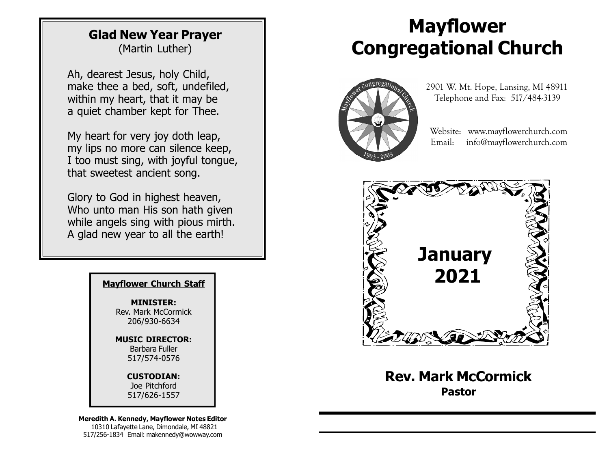#### Glad New Year Prayer (Martin Luther)

Ah, dearest Jesus, holy Child, make thee a bed, soft, undefiled, within my heart, that it may be a quiet chamber kept for Thee.

My heart for very joy doth leap, my lips no more can silence keep, I too must sing, with joyful tongue, that sweetest ancient song.

Glory to God in highest heaven, Who unto man His son hath given while angels sing with pious mirth. A glad new year to all the earth!

MINISTER: Rev. Mark McCormick 206/930-6634

MUSIC DIRECTOR: Barbara Fuller 517/574-0576

CUSTODIAN:

Joe Pitchford 517/626-1557

Meredith A. Kennedy, Mayflower Notes Editor 10310 Lafayette Lane, Dimondale, MI 48821 517/256-1834 Email: makennedy@wowway.com

# Mayflower Congregational Church



 2901 W. Mt. Hope, Lansing, MI 48911 Telephone and Fax: 517/484-3139

 Website: www.mayflowerchurch.com Email: info@mayflowerchurch.com



Rev. Mark McCormick Pastor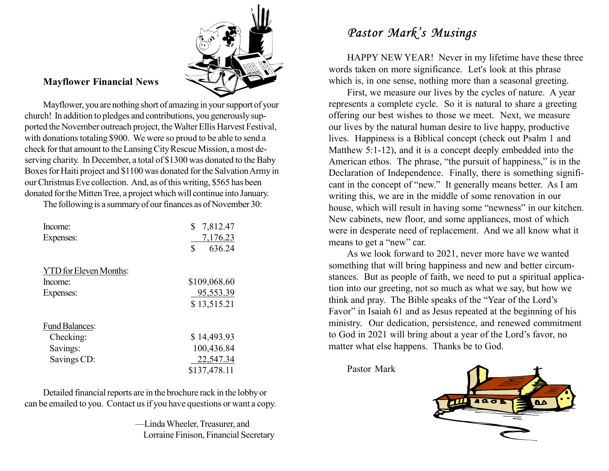

#### Mayflower Financial News

Mayflower, you are nothing short of amazing in your support of your church! In addition to pledges and contributions, you generously supported the November outreach project, the Walter Ellis Harvest Festival, with donations totaling \$900. We were so proud to be able to send a check for that amount to the Lansing City Rescue Mission, a most deserving charity. In December, a total of \$1300 was donated to the Baby Boxes for Haiti project and \$1100 was donated for the Salvation Army in our Christmas Eve collection. And, as of this writing, \$565 has been donated for the Mitten Tree, a project which will continue into January.

The following is a summary of our finances as of November 30:

| Income:<br>Expenses:          | \$<br>7,812.47<br>7,176.23<br>\$<br>636.24 |
|-------------------------------|--------------------------------------------|
| <b>YTD</b> for Eleven Months: |                                            |
| Income:                       | \$109,068.60                               |
| Expenses:                     | 95,553.39                                  |
|                               | \$13,515.21                                |
| <b>Fund Balances:</b>         |                                            |
| Checking:                     | \$14,493.93                                |
| Savings:                      | 100,436.84                                 |
| Savings CD:                   | 22,547.34                                  |
|                               | \$137,478.11                               |

Detailed financial reports are in the brochure rack in the lobby or can be emailed to you. Contact us if you have questions or want a copy.

> —Linda Wheeler, Treasurer, and Lorraine Finison, Financial Secretary

#### Pastor Mark's Musings

HAPPY NEW YEAR! Never in my lifetime have these three words taken on more significance. Let's look at this phrase which is, in one sense, nothing more than a seasonal greeting.

First, we measure our lives by the cycles of nature. A year represents a complete cycle. So it is natural to share a greeting offering our best wishes to those we meet. Next, we measure our lives by the natural human desire to live happy, productive lives. Happiness is a Biblical concept (check out Psalm 1 and Matthew 5:1-12), and it is a concept deeply embedded into the American ethos. The phrase, "the pursuit of happiness," is in the Declaration of Independence. Finally, there is something significant in the concept of "new." It generally means better. As I am writing this, we are in the middle of some renovation in our house, which will result in having some "newness" in our kitchen. New cabinets, new floor, and some appliances, most of which were in desperate need of replacement. And we all know what it means to get a "new" car.

As we look forward to 2021, never more have we wanted something that will bring happiness and new and better circumstances. But as people of faith, we need to put a spiritual application into our greeting, not so much as what we say, but how we think and pray. The Bible speaks of the "Year of the Lord's Favor" in Isaiah 61 and as Jesus repeated at the beginning of his ministry. Our dedication, persistence, and renewed commitment to God in 2021 will bring about a year of the Lord's favor, no matter what else happens. Thanks be to God.

Pastor Mark

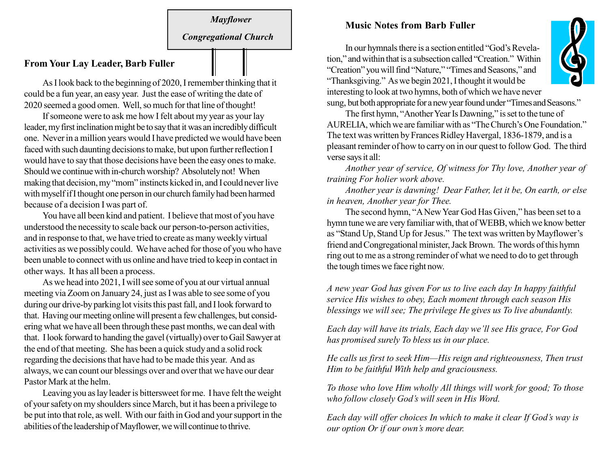# Mayflower Congregational Church

#### From Your Lay Leader, Barb Fuller

As I look back to the beginning of 2020, I remember thinking that it could be a fun year, an easy year. Just the ease of writing the date of 2020 seemed a good omen. Well, so much for that line of thought!

If someone were to ask me how I felt about my year as your lay leader, my first inclination might be to say that it was an incredibly difficult one. Never in a million years would I have predicted we would have been faced with such daunting decisions to make, but upon further reflection I would have to say that those decisions have been the easy ones to make. Should we continue with in-church worship? Absolutely not! When making that decision, my "mom" instincts kicked in, and I could never live with myself if I thought one person in our church family had been harmed because of a decision I was part of.

You have all been kind and patient. I believe that most of you have understood the necessity to scale back our person-to-person activities, and in response to that, we have tried to create as many weekly virtual activities as we possibly could. We have ached for those of you who have been unable to connect with us online and have tried to keep in contact in other ways. It has all been a process.

As we head into 2021, I will see some of you at our virtual annual meeting via Zoom on January 24, just as I was able to see some of you during our drive-by parking lot visits this past fall, and I look forward to that. Having our meeting online will present a few challenges, but considering what we have all been through these past months, we can deal with that. I look forward to handing the gavel (virtually) over to Gail Sawyer at the end of that meeting. She has been a quick study and a solid rock regarding the decisions that have had to be made this year. And as always, we can count our blessings over and over that we have our dear Pastor Mark at the helm.

Leaving you as lay leader is bittersweet for me. I have felt the weight of your safety on my shoulders since March, but it has been a privilege to be put into that role, as well. With our faith in God and your support in the abilities of the leadership of Mayflower, we will continue to thrive.

#### Music Notes from Barb Fuller

In our hymnals there is a section entitled "God's Revelation," and within that is a subsection called "Creation." Within "Creation" you will find "Nature," "Times and Seasons," and "Thanksgiving." As we begin 2021, I thought it would be interesting to look at two hymns, both of which we have never sung, but both appropriate for a new year found under "Times and Seasons."

The first hymn, "Another Year Is Dawning," is set to the tune of AURELIA, which we are familiar with as "The Church's One Foundation." The text was written by Frances Ridley Havergal, 1836-1879, and is a pleasant reminder of how to carry on in our quest to follow God. The third verse says it all:

Another year of service, Of witness for Thy love, Another year of training For holier work above.

Another year is dawning! Dear Father, let it be, On earth, or else in heaven, Another year for Thee.

The second hymn, "A New Year God Has Given," has been set to a hymn tune we are very familiar with, that of WEBB, which we know better as "Stand Up, Stand Up for Jesus." The text was written by Mayflower's friend and Congregational minister, Jack Brown. The words of this hymn ring out to me as a strong reminder of what we need to do to get through the tough times we face right now.

A new year God has given For us to live each day In happy faithful service His wishes to obey, Each moment through each season His blessings we will see; The privilege He gives us To live abundantly.

Each day will have its trials, Each day we'll see His grace, For God has promised surely To bless us in our place.

He calls us first to seek Him—His reign and righteousness, Then trust Him to be faithful With help and graciousness.

To those who love Him wholly All things will work for good; To those who follow closely God's will seen in His Word.

Each day will offer choices In which to make it clear If God's way is our option Or if our own's more dear.